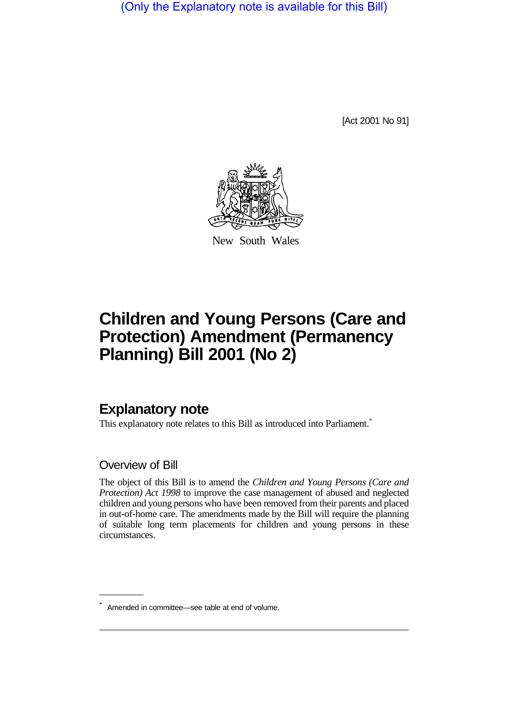(Only the Explanatory note is available for this Bill)

[Act 2001 No 91]



New South Wales

# **Children and Young Persons (Care and Protection) Amendment (Permanency Planning) Bill 2001 (No 2)**

# **Explanatory note**

This explanatory note relates to this Bill as introduced into Parliament.<sup>\*</sup>

### Overview of Bill

The object of this Bill is to amend the *Children and Young Persons (Care and Protection) Act 1998* to improve the case management of abused and neglected children and young persons who have been removed from their parents and placed in out-of-home care. The amendments made by the Bill will require the planning of suitable long term placements for children and young persons in these circumstances.

<sup>\*</sup> Amended in committee—see table at end of volume.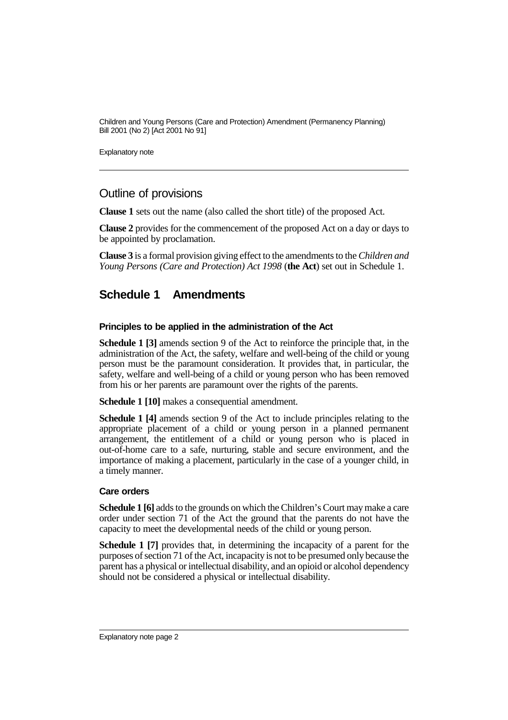Explanatory note

### Outline of provisions

**Clause 1** sets out the name (also called the short title) of the proposed Act.

**Clause 2** provides for the commencement of the proposed Act on a day or days to be appointed by proclamation.

**Clause 3** is a formal provision giving effect to the amendments to the *Children and Young Persons (Care and Protection) Act 1998* (**the Act**) set out in Schedule 1.

## **Schedule 1 Amendments**

#### **Principles to be applied in the administration of the Act**

**Schedule 1 [3]** amends section 9 of the Act to reinforce the principle that, in the administration of the Act, the safety, welfare and well-being of the child or young person must be the paramount consideration. It provides that, in particular, the safety, welfare and well-being of a child or young person who has been removed from his or her parents are paramount over the rights of the parents.

**Schedule 1 [10]** makes a consequential amendment.

**Schedule 1 [4]** amends section 9 of the Act to include principles relating to the appropriate placement of a child or young person in a planned permanent arrangement, the entitlement of a child or young person who is placed in out-of-home care to a safe, nurturing, stable and secure environment, and the importance of making a placement, particularly in the case of a younger child, in a timely manner.

#### **Care orders**

**Schedule 1 [6]** adds to the grounds on which the Children's Court may make a care order under section 71 of the Act the ground that the parents do not have the capacity to meet the developmental needs of the child or young person.

**Schedule 1 [7]** provides that, in determining the incapacity of a parent for the purposes of section 71 of the Act, incapacity is not to be presumed only because the parent has a physical or intellectual disability, and an opioid or alcohol dependency should not be considered a physical or intellectual disability.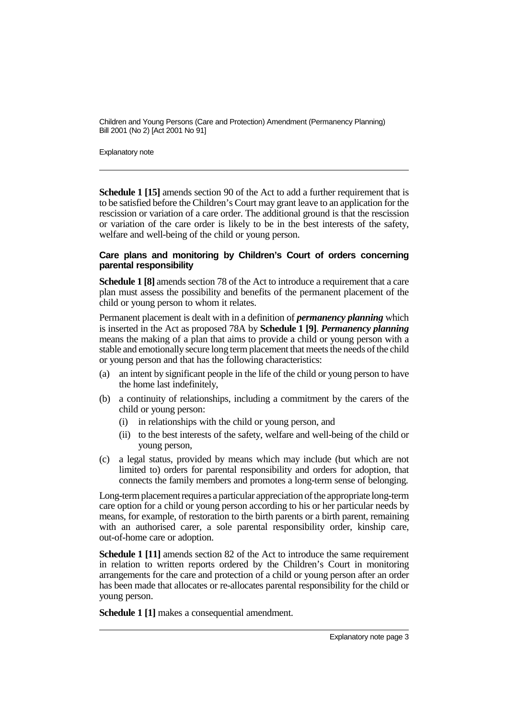Explanatory note

**Schedule 1 [15]** amends section 90 of the Act to add a further requirement that is to be satisfied before the Children's Court may grant leave to an application for the rescission or variation of a care order. The additional ground is that the rescission or variation of the care order is likely to be in the best interests of the safety, welfare and well-being of the child or young person.

#### **Care plans and monitoring by Children's Court of orders concerning parental responsibility**

**Schedule 1 [8]** amends section 78 of the Act to introduce a requirement that a care plan must assess the possibility and benefits of the permanent placement of the child or young person to whom it relates.

Permanent placement is dealt with in a definition of *permanency planning* which is inserted in the Act as proposed 78A by **Schedule 1 [9]**. *Permanency planning* means the making of a plan that aims to provide a child or young person with a stable and emotionally secure long term placement that meets the needs of the child or young person and that has the following characteristics:

- (a) an intent by significant people in the life of the child or young person to have the home last indefinitely,
- (b) a continuity of relationships, including a commitment by the carers of the child or young person:
	- (i) in relationships with the child or young person, and
	- (ii) to the best interests of the safety, welfare and well-being of the child or young person,
- (c) a legal status, provided by means which may include (but which are not limited to) orders for parental responsibility and orders for adoption, that connects the family members and promotes a long-term sense of belonging.

Long-term placement requires a particular appreciation of the appropriate long-term care option for a child or young person according to his or her particular needs by means, for example, of restoration to the birth parents or a birth parent, remaining with an authorised carer, a sole parental responsibility order, kinship care, out-of-home care or adoption.

**Schedule 1 [11]** amends section 82 of the Act to introduce the same requirement in relation to written reports ordered by the Children's Court in monitoring arrangements for the care and protection of a child or young person after an order has been made that allocates or re-allocates parental responsibility for the child or young person.

**Schedule 1 [1]** makes a consequential amendment.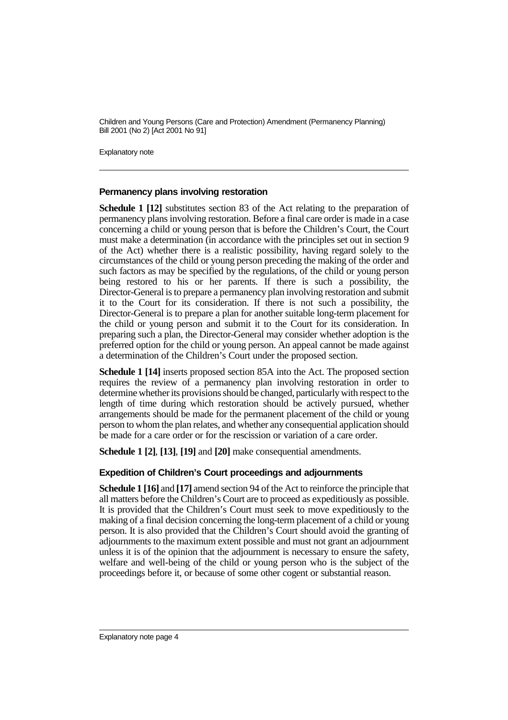Explanatory note

#### **Permanency plans involving restoration**

**Schedule 1 [12]** substitutes section 83 of the Act relating to the preparation of permanency plans involving restoration. Before a final care order is made in a case concerning a child or young person that is before the Children's Court, the Court must make a determination (in accordance with the principles set out in section 9 of the Act) whether there is a realistic possibility, having regard solely to the circumstances of the child or young person preceding the making of the order and such factors as may be specified by the regulations, of the child or young person being restored to his or her parents. If there is such a possibility, the Director-General is to prepare a permanency plan involving restoration and submit it to the Court for its consideration. If there is not such a possibility, the Director-General is to prepare a plan for another suitable long-term placement for the child or young person and submit it to the Court for its consideration. In preparing such a plan, the Director-General may consider whether adoption is the preferred option for the child or young person. An appeal cannot be made against a determination of the Children's Court under the proposed section.

**Schedule 1 [14]** inserts proposed section 85A into the Act. The proposed section requires the review of a permanency plan involving restoration in order to determine whether its provisions should be changed, particularly with respect to the length of time during which restoration should be actively pursued, whether arrangements should be made for the permanent placement of the child or young person to whom the plan relates, and whether any consequential application should be made for a care order or for the rescission or variation of a care order.

**Schedule 1 [2]**, **[13]**, **[19]** and **[20]** make consequential amendments.

#### **Expedition of Children's Court proceedings and adjournments**

**Schedule 1 [16]** and **[17]** amend section 94 of the Act to reinforce the principle that all matters before the Children's Court are to proceed as expeditiously as possible. It is provided that the Children's Court must seek to move expeditiously to the making of a final decision concerning the long-term placement of a child or young person. It is also provided that the Children's Court should avoid the granting of adjournments to the maximum extent possible and must not grant an adjournment unless it is of the opinion that the adjournment is necessary to ensure the safety, welfare and well-being of the child or young person who is the subject of the proceedings before it, or because of some other cogent or substantial reason.